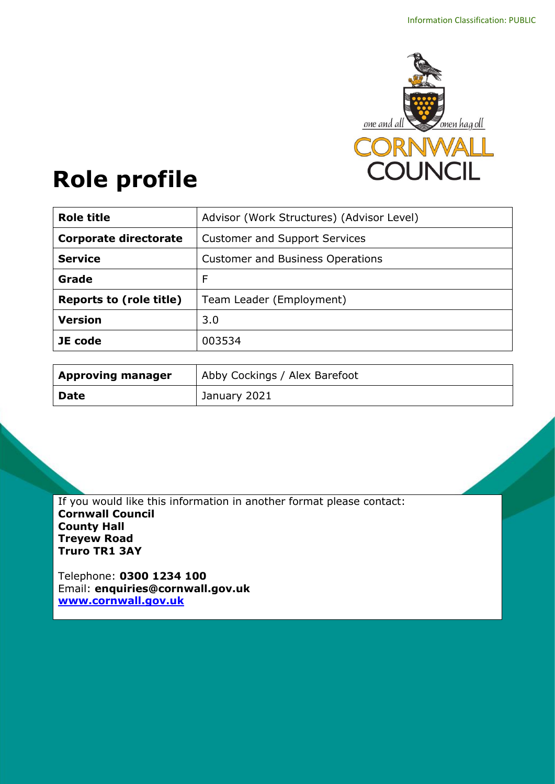

# **Role profile**

| <b>Role title</b>              | Advisor (Work Structures) (Advisor Level) |
|--------------------------------|-------------------------------------------|
| <b>Corporate directorate</b>   | <b>Customer and Support Services</b>      |
| <b>Service</b>                 | <b>Customer and Business Operations</b>   |
| Grade                          | F                                         |
| <b>Reports to (role title)</b> | Team Leader (Employment)                  |
| <b>Version</b>                 | 3.0                                       |
| JE code                        | 003534                                    |

| <b>Approving manager</b> | Abby Cockings / Alex Barefoot |
|--------------------------|-------------------------------|
| <b>Date</b>              | <sup>1</sup> January 2021     |

If you would like this information in another format please contact: **Cornwall Council County Hall Treyew Road Truro TR1 3AY**

Telephone: **0300 1234 100** Email: **[enquiries@cornwall.gov.uk](mailto:enquiries@cornwall.gov.uk) [www.cornwall.gov.uk](http://www.cornwall.gov.uk/)**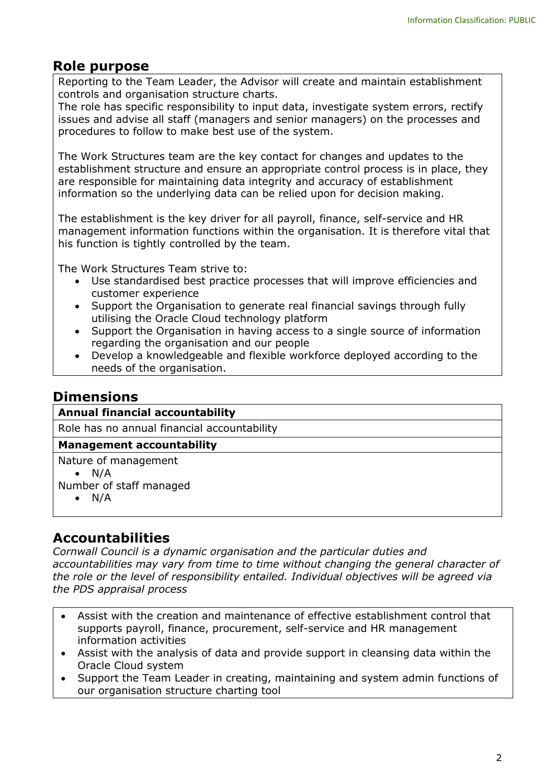# **Role purpose**

Reporting to the Team Leader, the Advisor will create and maintain establishment controls and organisation structure charts.

The role has specific responsibility to input data, investigate system errors, rectify issues and advise all staff (managers and senior managers) on the processes and procedures to follow to make best use of the system.

The Work Structures team are the key contact for changes and updates to the establishment structure and ensure an appropriate control process is in place, they are responsible for maintaining data integrity and accuracy of establishment information so the underlying data can be relied upon for decision making.

The establishment is the key driver for all payroll, finance, self-service and HR management information functions within the organisation. It is therefore vital that his function is tightly controlled by the team.

The Work Structures Team strive to:

- Use standardised best practice processes that will improve efficiencies and customer experience
- Support the Organisation to generate real financial savings through fully utilising the Oracle Cloud technology platform
- Support the Organisation in having access to a single source of information regarding the organisation and our people
- Develop a knowledgeable and flexible workforce deployed according to the needs of the organisation.

## **Dimensions**

#### **Annual financial accountability**

Role has no annual financial accountability

#### **Management accountability**

Nature of management

 $\bullet$  N/A

Number of staff managed

 $\bullet$  N/A

## **Accountabilities**

*Cornwall Council is a dynamic organisation and the particular duties and accountabilities may vary from time to time without changing the general character of the role or the level of responsibility entailed. Individual objectives will be agreed via the PDS appraisal process* 

- Assist with the creation and maintenance of effective establishment control that supports payroll, finance, procurement, self-service and HR management information activities
- Assist with the analysis of data and provide support in cleansing data within the Oracle Cloud system
- Support the Team Leader in creating, maintaining and system admin functions of our organisation structure charting tool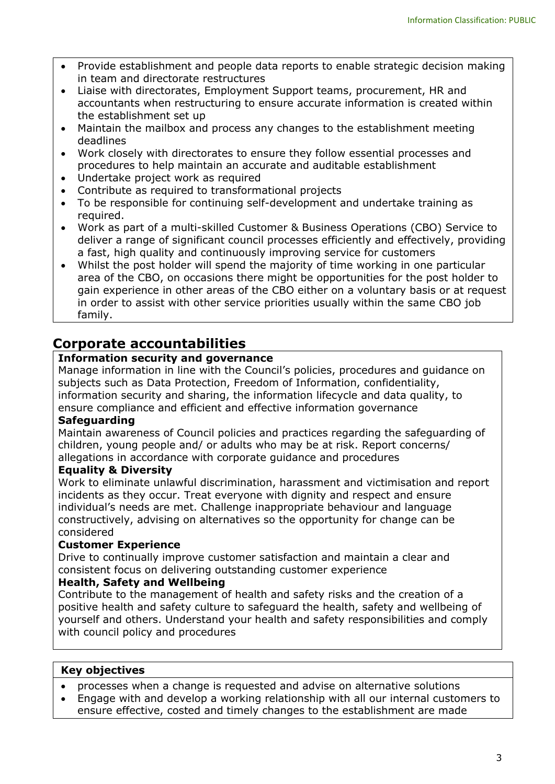- Provide establishment and people data reports to enable strategic decision making in team and directorate restructures
- Liaise with directorates, Employment Support teams, procurement, HR and accountants when restructuring to ensure accurate information is created within the establishment set up
- Maintain the mailbox and process any changes to the establishment meeting deadlines
- Work closely with directorates to ensure they follow essential processes and procedures to help maintain an accurate and auditable establishment
- Undertake project work as required
- Contribute as required to transformational projects
- To be responsible for continuing self-development and undertake training as required.
- Work as part of a multi-skilled Customer & Business Operations (CBO) Service to deliver a range of significant council processes efficiently and effectively, providing a fast, high quality and continuously improving service for customers
- Whilst the post holder will spend the majority of time working in one particular area of the CBO, on occasions there might be opportunities for the post holder to gain experience in other areas of the CBO either on a voluntary basis or at request in order to assist with other service priorities usually within the same CBO job family.

# **Corporate accountabilities**

#### **Information security and governance**

Manage information in line with the Council's policies, procedures and guidance on subjects such as Data Protection, Freedom of Information, confidentiality, information security and sharing, the information lifecycle and data quality, to ensure compliance and efficient and effective information governance

#### **Safeguarding**

Maintain awareness of Council policies and practices regarding the safeguarding of children, young people and/ or adults who may be at risk. Report concerns/ allegations in accordance with corporate guidance and procedures

#### **Equality & Diversity**

Work to eliminate unlawful discrimination, harassment and victimisation and report incidents as they occur. Treat everyone with dignity and respect and ensure individual's needs are met. Challenge inappropriate behaviour and language constructively, advising on alternatives so the opportunity for change can be considered

#### **Customer Experience**

Drive to continually improve customer satisfaction and maintain a clear and consistent focus on delivering outstanding customer experience

#### **Health, Safety and Wellbeing**

Contribute to the management of health and safety risks and the creation of a positive health and safety culture to safeguard the health, safety and wellbeing of yourself and others. Understand your health and safety responsibilities and comply with council policy and procedures

#### **Key objectives**

- processes when a change is requested and advise on alternative solutions
- Engage with and develop a working relationship with all our internal customers to ensure effective, costed and timely changes to the establishment are made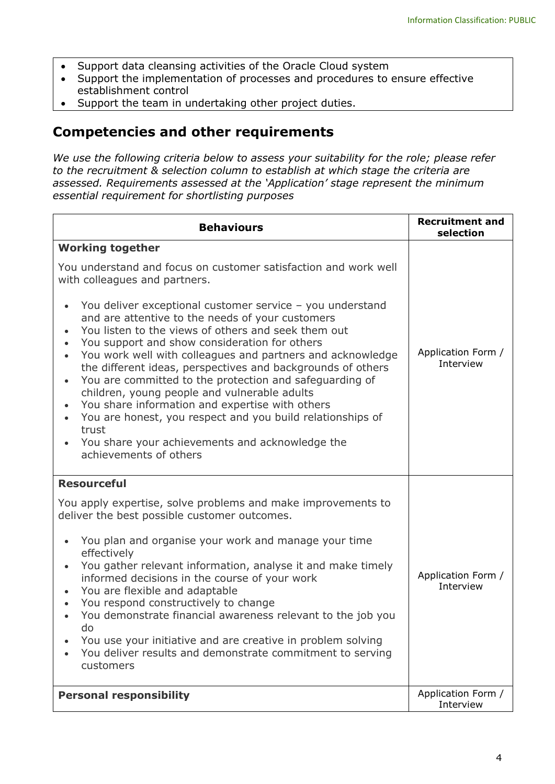- Support data cleansing activities of the Oracle Cloud system
- Support the implementation of processes and procedures to ensure effective establishment control
- Support the team in undertaking other project duties.

### **Competencies and other requirements**

*We use the following criteria below to assess your suitability for the role; please refer to the recruitment & selection column to establish at which stage the criteria are assessed. Requirements assessed at the 'Application' stage represent the minimum essential requirement for shortlisting purposes*

| <b>Behaviours</b>                                                                                                                                                                                                                                                                                                                                                                                                                                                                                                                                                                                                                                                                                                                                                                                                                                       | <b>Recruitment and</b><br>selection |
|---------------------------------------------------------------------------------------------------------------------------------------------------------------------------------------------------------------------------------------------------------------------------------------------------------------------------------------------------------------------------------------------------------------------------------------------------------------------------------------------------------------------------------------------------------------------------------------------------------------------------------------------------------------------------------------------------------------------------------------------------------------------------------------------------------------------------------------------------------|-------------------------------------|
| <b>Working together</b><br>You understand and focus on customer satisfaction and work well<br>with colleagues and partners.<br>You deliver exceptional customer service - you understand<br>and are attentive to the needs of your customers<br>You listen to the views of others and seek them out<br>You support and show consideration for others<br>You work well with colleagues and partners and acknowledge<br>$\bullet$<br>the different ideas, perspectives and backgrounds of others<br>You are committed to the protection and safeguarding of<br>$\bullet$<br>children, young people and vulnerable adults<br>You share information and expertise with others<br>$\bullet$<br>You are honest, you respect and you build relationships of<br>$\bullet$<br>trust<br>You share your achievements and acknowledge the<br>achievements of others | Application Form /<br>Interview     |
| <b>Resourceful</b><br>You apply expertise, solve problems and make improvements to<br>deliver the best possible customer outcomes.<br>You plan and organise your work and manage your time<br>effectively<br>You gather relevant information, analyse it and make timely<br>$\bullet$<br>informed decisions in the course of your work<br>You are flexible and adaptable<br>$\bullet$<br>You respond constructively to change<br>You demonstrate financial awareness relevant to the job you<br>do<br>You use your initiative and are creative in problem solving<br>You deliver results and demonstrate commitment to serving<br>customers                                                                                                                                                                                                             | Application Form /<br>Interview     |
| <b>Personal responsibility</b>                                                                                                                                                                                                                                                                                                                                                                                                                                                                                                                                                                                                                                                                                                                                                                                                                          | Application Form /<br>Interview     |